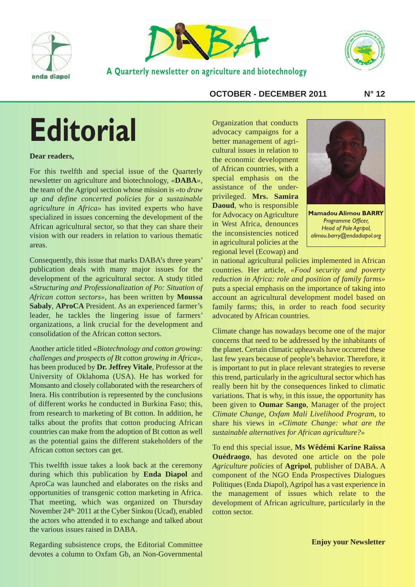



**A Quarterly newsletter on agriculture and biotechnology**



#### **OCTOBER - DECEMBER 2011 N° 12**

# **Editorial**

#### **Dear readers,**

For this twelfth and special issue of the Quarterly newsletter on agriculture and biotechnology, *«* **DABA***»*, the team of the Agripol section whose mission is *« to draw up and define concerted policies for a sustainable agriculture in Africa»* has invited experts who have specialized in issues concerning the development of the African agricultural sector, so that they can share their vision with our readers in relation to various thematic areas.

Consequently, this issue that marks DABA's three years' publication deals with many major issues for the development of the agricultural sector. A study titled «*Structuring and Professionalization of Po: Situation of African cotton sectors»*, has been written by **Moussa Sabaly**, **AProCA** President. As an experienced farmer's leader, he tackles the lingering issue of farmers' organizations, a link crucial for the development and consolidation of the African cotton sectors.

Another article titled *« Biotechnology and cotton growing: challenges and prospects of Bt cotton growing in Africa»*, has been produced by **Dr. Jeffrey Vitale**, Professor at the University of Oklahoma (USA). He has worked for Monsanto and closely collaborated with the researchers of Inera. His contribution is represented by the conclusions of different works he conducted in Burkina Faso; this, from research to marketing of Bt cotton. In addition, he talks about the profits that cotton producing African countries can make from the adoption of Bt cotton as well as the potential gains the different stakeholders of the African cotton sectors can get.

This twelfth issue takes a look back at the ceremony during which this publication by **Enda Diapol** and AproCa was launched and elaborates on the risks and opportunities of transgenic cotton marketing in Africa. That meeting, which was organized on Thursday November 24th, 2011 at the Cyber Sinkou (Ucad), enabled the actors who attended it to exchange and talked about the various issues raised in DABA.

Regarding subsistence crops, the Editorial Committee devotes a column to Oxfam Gb, an Non-Governmental

Organization that conducts advocacy campaigns for a better management of agricultural issues in relation to the economic development of African countries, with a special emphasis on the assistance of the underprivileged. **Mrs. Samira Daoud**, who is responsible for Advocacy on Agriculture in West Africa, denounces the inconsistencies noticed in agricultural policies at the regional level (Ecowap) and



**Mamadou Alimou BARRY** *Programme Officer, Head of Pole Agripol, alimou.barry@endadiapol.org*

in national agricultural policies implemented in African countries. Her article, «Food security and poverty *reduction in Africa: role and position of family farms»* puts a special emphasis on the importance of taking into account an agricultural development model based on family farms; this, in order to reach food security advocated by African countries.

Climate change has nowadays become one of the major concerns that need to be addressed by the inhabitants of the planet. Certain climatic upheavals have occurred these last few years because of people's behavior. Therefore, it is important to put in place relevant strategies to reverse this trend, particularly in the agricultural sector which has really been hit by the consequences linked to climatic variations. That is why, in this issue, the opportunity has been given to **Oumar Sango**, Manager of the project *Climate Change, Oxfam Mali Livelihood Program,* to share his views in *« Climate Change: what are the sustainable alternatives for African agriculture?»*

To end this special issue, **Ms Wêdémi Karine Raïssa Ouédraogo**, has devoted one article on the pole *Agriculture policies* of **Agripol**, publisher of DABA. A component of the NGO Enda Prospectives Dialogues Politiques (Enda Diapol), Agripol has a vast experience in the management of issues which relate to the development of African agriculture, particularly in the cotton sector.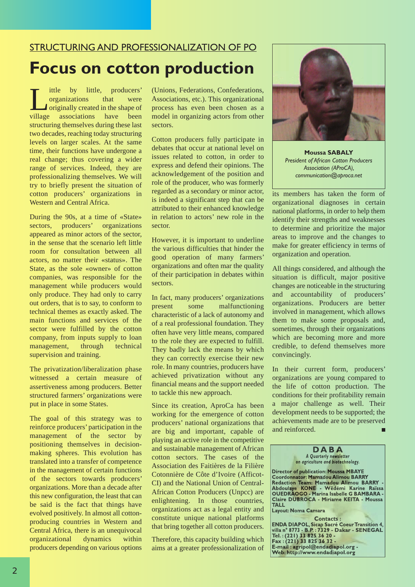## STRUCTURING AND PROFESSIONALIZATION OF PO **Focus on cotton production**

I ittle by little, producers'<br>organizations that were<br>originally created in the shape of<br>village associations have been organizations that were originally created in the shape of village associations have been structuring themselves during these last two decades, reaching today structuring levels on larger scales. At the same time, their functions have undergone a real change; thus covering a wider range of services. Indeed, they are professionalizing themselves. We will try to briefly present the situation of cotton producers' organizations in Western and Central Africa.

During the 90s, at a time of «State» sectors, producers' organizations appeared as minor actors of the sector, in the sense that the scenario left little room for consultation between all actors, no matter their «status». The State, as the sole «owner» of cotton companies, was responsible for the management while producers would only produce. They had only to carry out orders, that is to say, to conform to technical themes as exactly asked. The main functions and services of the sector were fulfilled by the cotton company, from inputs supply to loan management, through technical supervision and training.

The privatization/liberalization phase witnessed a certain measure of assertiveness among producers. Better structured farmers' organizations were put in place in some States.

The goal of this strategy was to reinforce producers' participation in the management of the sector by positioning themselves in decisionmaking spheres. This evolution has translated into a transfer of competence in the management of certain functions of the sectors towards producers' organizations. More than a decade after this new configuration, the least that can be said is the fact that things have evolved positively. In almost all cottonproducing countries in Western and Central Africa, there is an unequivocal organizational dynamics within producers depending on various options

(Unions, Federations, Confederations, Associations, etc.). This organizational process has even been chosen as a model in organizing actors from other sectors.

Cotton producers fully participate in debates that occur at national level on issues related to cotton, in order to express and defend their opinions. The acknowledgement of the position and role of the producer, who was formerly regarded as a secondary or minor actor, is indeed a significant step that can be attributed to their enhanced knowledge in relation to actors' new role in the sector.

However, it is important to underline the various difficulties that hinder the good operation of many farmers' organizations and often mar the quality of their participation in debates within sectors.

In fact, many producers' organizations present some malfunctioning characteristic of a lack of autonomy and of a real professional foundation. They often have very little means, compared to the role they are expected to fulfill. They badly lack the means by which they can correctly exercise their new role. In many countries, producers have achieved privatization without any financial means and the support needed to tackle this new approach.

Since its creation, AproCa has been working for the emergence of cotton producers' national organizations that are big and important, capable of playing an active role in the competitive and sustainable management of African cotton sectors. The cases of the Association des Faitières de la Filière Cotonnière de Côte d'Ivoire (Afficot-CI) and the National Union of Central-African Cotton Producers (Unpcc) are enlightening. In those countries, organizations act as a legal entity and constitute unique national platforms that bring together all cotton producers.

Therefore, this capacity building which aims at a greater professionalization of



**Moussa SABALY** *President of African Cotton Producers Association (AProCA), communication@aproca.net*

its members has taken the form of organizational diagnoses in certain national platforms, in order to help them identify their strengths and weaknesses to determine and prioritize the major areas to improve and the changes to make for greater efficiency in terms of organization and operation.

All things considered, and although the situation is difficult, major positive changes are noticeable in the structuring and accountability of producers' organizations. Producers are better involved in management, which allows them to make some proposals and, sometimes, through their organizations which are becoming more and more credible, to defend themselves more convincingly.

In their current form, producers' organizations are young compared to the life of cotton production. The conditions for their profitability remain a major challenge as well. Their development needs to be supported; the achievements made are to be preserved and reinforced.

> **D A B A** *A Quarterly newsletter on agriculture and biotechnology.*

**Director of publication: Moussa MBAYE Coordonnator: Mamadou Alimou BARRY Redaction Team: Mamadou Alimou BARRY - Abdoulaye KONE - Wêdémi Karine Raïssa OUEDRAOGO - Marina Isabelle G BAMBARA - Claire DUBROCA - Miriame KEITA - Moussa TALL**

**Layout: Noma Camara**

**Contacts : ENDA DIAPOL, Sicap Sacré Coeur Transition 4, villa n° 8773 - B.P. : 7329 - Dakar - SENEGAL Tel. : (221) 33 825 36 20 - Fax : (221) 33 825 36 32 - E-mail : agripol@endadiapol.org - Web: http://www.endadiapol.org**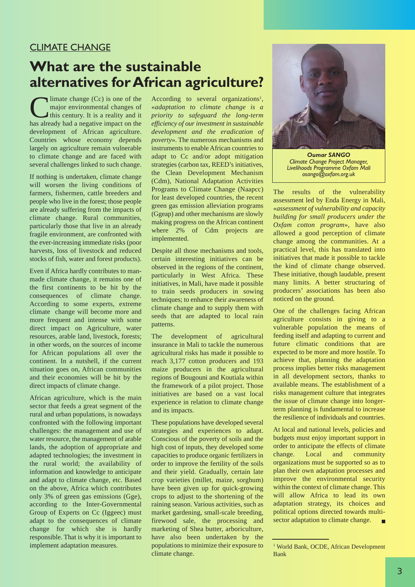## CLIMATE CHANGE

## **What are the sustainable alternatives forAfrican agriculture?**

 $\blacktriangle$ limate change (Cc) is one of the major environmental changes of this century. It is a reality and it has already had a negative impact on the development of African agriculture. Countries whose economy depends largely on agriculture remain vulnerable to climate change and are faced with several challenges linked to such change.

If nothing is undertaken, climate change will worsen the living conditions of farmers, fishermen, cattle breeders and people who live in the forest; those people are already suffering from the impacts of climate change. Rural communities, particularly those that live in an already fragile environment, are confronted with the ever-increasing immediate risks (poor harvests, loss of livestock and reduced stocks of fish, water and forest products).

Even if Africa hardly contributes to manmade climate change, it remains one of the first continents to be hit by the consequences of climate change. According to some experts, extreme climate change will become more and more frequent and intense with some direct impact on Agriculture, water resources, arable land, livestock, forests; in other words, on the sources of income for African populations all over the continent. In a nutshell, if the current situation goes on, African communities and their economies will be hit by the direct impacts of climate change.

African agriculture, which is the main sector that feeds a great segment of the rural and urban populations, is nowadays confronted with the following important challenges: the management and use of water resource, the management of arable lands, the adoption of appropriate and adapted technologies; the investment in the rural world; the availability of information and knowledge to anticipate and adapt to climate change, etc. Based on the above, Africa which contributes only 3% of green gas emissions (Gge), according to the Inter-Governmental Group of Experts on Cc (Iggeec) must adapt to the consequences of climate change for which she is hardly responsible. That is why it is important to implement adaptation measures.

According to several organizations<sup>1</sup>, «*adaptation to climate change is a priority to safeguard the long-term efficiency of our investment in sustainable development and the eradication of poverty*». The numerous mechanisms and instruments to enable African countries to adapt to Cc and/or adopt mitigation strategies (carbon tax, REED's initiatives, the Clean Development Mechanism (Cdm), National Adaptation Activities Programs to Climate Change (Naapcc) for least developed countries, the recent green gas emission alleviation programs (Ggeap) and other mechanisms are slowly making progress on the African continent where 2% of Cdm projects are implemented.

Despite all those mechanisms and tools, certain interesting initiatives can be observed in the regions of the continent, particularly in West Africa. These initiatives, in Mali, have made it possible to train seeds producers in sowing techniques; to enhance their awareness of climate change and to supply them with seeds that are adapted to local rain patterns.

The development of agricultural insurance in Mali to tackle the numerous agricultural risks has made it possible to reach 3,177 cotton producers and 193 maize producers in the agricultural regions of Bougouni and Koutiala within the framework of a pilot project. Those initiatives are based on a vast local experience in relation to climate change and its impacts.

These populations have developed several strategies and experiences to adapt. Conscious of the poverty of soils and the high cost of inputs, they developed some capacities to produce organic fertilizers in order to improve the fertility of the soils and their yield. Gradually, certain late crop varieties (millet, maize, sorghum) have been given up for quick-growing crops to adjust to the shortening of the raining season. Various activities, such as market gardening, small-scale breeding, firewood sale, the processing and marketing of Shea butter, arboriculture, have also been undertaken by the populations to minimize their exposure to climate change.



*Oumar SANGO Climate Change Project Manager, Livelihoods Programme Oxfam Mali osango@oxfam.org.uk*

The results of the vulnerability assessment led by Enda Energy in Mali, «*assessment of vulnerability and capacity building for small producers under the Oxfam cotton program*», have also allowed a good perception of climate change among the communities. At a practical level, this has translated into initiatives that made it possible to tackle the kind of climate change observed. These initiative, though laudable, present many limits. A better structuring of producers' associations has been also noticed on the ground.

One of the challenges facing African agriculture consists in giving to a vulnerable population the means of feeding itself and adapting to current and future climatic conditions that are expected to be more and more hostile. To achieve that, planning the adaptation process implies better risks management in all development sectors, thanks to available means. The establishment of a risks management culture that integrates the issue of climate change into longerterm planning is fundamental to increase the resilience of individuals and countries.

At local and national levels, policies and budgets must enjoy important support in order to anticipate the effects of climate change. Local and community organizations must be supported so as to plan their own adaptation processes and improve the environmental security within the context of climate change. This will allow Africa to lead its own adaptation strategy, its choices and political options directed towards multisector adaptation to climate change.  $\blacksquare$ 

<sup>1</sup> World Bank, OCDE, African Development Bank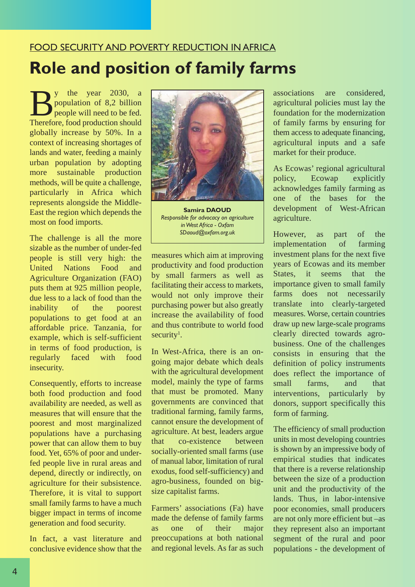# FOOD SECURITY AND POVERTY REDUCTION IN AFRICA **Role and position of family farms**

 $\sum_{\text{population of 8,2 billion}}$  y the year 2030, a population of 8,2 billion population of 8,2 billion people will need to be fed. Therefore, food production should globally increase by 50%. In a context of increasing shortages of lands and water, feeding a mainly urban population by adopting more sustainable production methods, will be quite a challenge, particularly in Africa which represents alongside the Middle-East the region which depends the most on food imports.

The challenge is all the more sizable as the number of under-fed people is still very high: the United Nations Food and Agriculture Organization (FAO) puts them at 925 million people, due less to a lack of food than the inability of the poorest populations to get food at an affordable price. Tanzania, for example, which is self-sufficient in terms of food production, is regularly faced with food insecurity.

Consequently, efforts to increase both food production and food availability are needed, as well as measures that will ensure that the poorest and most marginalized populations have a purchasing power that can allow them to buy food. Yet, 65% of poor and underfed people live in rural areas and depend, directly or indirectly, on agriculture for their subsistence. Therefore, it is vital to support small family farms to have a much bigger impact in terms of income generation and food security.

In fact, a vast literature and conclusive evidence show that the



**Samira DAOUD** *Responsible for advocacy on agriculture inWest Africa - Oxfam SDaoud@oxfam.org.uk*

measures which aim at improving productivity and food production by small farmers as well as facilitating their access to markets, would not only improve their purchasing power but also greatly increase the availability of food and thus contribute to world food security<sup>1</sup>.

In West-Africa, there is an ongoing major debate which deals with the agricultural development model, mainly the type of farms that must be promoted. Many governments are convinced that traditional farming, family farms, cannot ensure the development of agriculture. At best, leaders argue that co-existence between socially-oriented small farms (use of manual labor, limitation of rural exodus, food self-sufficiency) and agro-business, founded on bigsize capitalist farms.

Farmers' associations (Fa) have made the defense of family farms as one of their major preoccupations at both national and regional levels. As far as such associations are considered, agricultural policies must lay the foundation for the modernization of family farms by ensuring for them access to adequate financing, agricultural inputs and a safe market for their produce.

As Ecowas' regional agricultural policy, Ecowap explicitly acknowledges family farming as one of the bases for the development of West-African agriculture.

However, as part of the implementation of farming investment plans for the next five years of Ecowas and its member States, it seems that the importance given to small family farms does not necessarily translate into clearly-targeted measures. Worse, certain countries draw up new large-scale programs clearly directed towards agrobusiness. One of the challenges consists in ensuring that the definition of policy instruments does reflect the importance of small farms, and that interventions, particularly by donors, support specifically this form of farming.

The efficiency of small production units in most developing countries is shown by an impressive body of empirical studies that indicates that there is a reverse relationship between the size of a production unit and the productivity of the lands. Thus, in labor-intensive poor economies, small producers are not only more efficient but –as they represent also an important segment of the rural and poor populations - the development of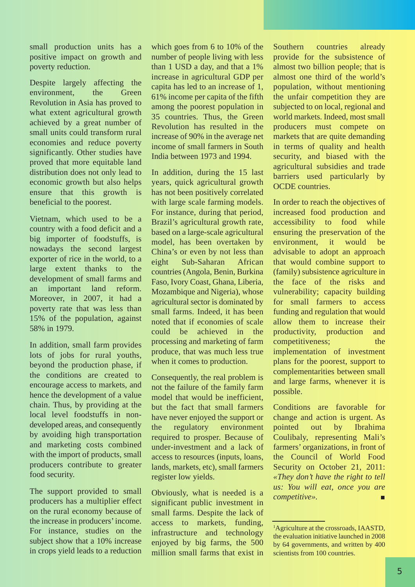small production units has a positive impact on growth and poverty reduction.

Despite largely affecting the environment, the Green Revolution in Asia has proved to what extent agricultural growth achieved by a great number of small units could transform rural economies and reduce poverty significantly. Other studies have proved that more equitable land distribution does not only lead to economic growth but also helps ensure that this growth is beneficial to the poorest.

Vietnam, which used to be a country with a food deficit and a big importer of foodstuffs, is nowadays the second largest exporter of rice in the world, to a large extent thanks to the development of small farms and an important land reform. Moreover, in 2007, it had a poverty rate that was less than 15% of the population, against 58% in 1979.

In addition, small farm provides lots of jobs for rural youths, beyond the production phase, if the conditions are created to encourage access to markets, and hence the development of a value chain. Thus, by providing at the local level foodstuffs in nondeveloped areas, and consequently by avoiding high transportation and marketing costs combined with the import of products, small producers contribute to greater food security.

The support provided to small producers has a multiplier effect on the rural economy because of the increase in producers' income. For instance, studies on the subject show that a 10% increase in crops yield leads to a reduction

which goes from 6 to 10% of the number of people living with less than 1 USD a day, and that a 1% increase in agricultural GDP per capita has led to an increase of 1, 61% income per capita of the fifth among the poorest population in 35 countries. Thus, the Green Revolution has resulted in the increase of 90% in the average net income of small farmers in South India between 1973 and 1994.

In addition, during the 15 last years, quick agricultural growth has not been positively correlated with large scale farming models. For instance, during that period, Brazil's agricultural growth rate, based on a large-scale agricultural model, has been overtaken by China's or even by not less than eight Sub-Saharan African countries (Angola, Benin, Burkina Faso, Ivory Coast, Ghana, Liberia, Mozambique and Nigeria), whose agricultural sector is dominated by small farms. Indeed, it has been noted that if economies of scale could be achieved in the processing and marketing of farm produce, that was much less true when it comes to production.

Consequently, the real problem is not the failure of the family farm model that would be inefficient, but the fact that small farmers have never enjoyed the support or the regulatory environment required to prosper. Because of under-investment and a lack of access to resources (inputs, loans, lands, markets, etc), small farmers register low yields.

Obviously, what is needed is a significant public investment in small farms. Despite the lack of access to markets, funding, infrastructure and technology enjoyed by big farms, the 500 million small farms that exist in Southern countries already provide for the subsistence of almost two billion people; that is almost one third of the world's population, without mentioning the unfair competition they are subjected to on local, regional and world markets. Indeed, most small producers must compete on markets that are quite demanding in terms of quality and health security, and biased with the agricultural subsidies and trade barriers used particularly by OCDE countries.

In order to reach the objectives of increased food production and accessibility to food while ensuring the preservation of the environment, it would be advisable to adopt an approach that would combine support to (family) subsistence agriculture in the face of the risks and vulnerability; capacity building for small farmers to access funding and regulation that would allow them to increase their productivity, production and competitiveness; the implementation of investment plans for the poorest, support to complementarities between small and large farms, whenever it is possible.

Conditions are favorable for change and action is urgent. As pointed out by Ibrahima Coulibaly, representing Mali's farmers' organizations, in front of the Council of World Food Security on October 21, 2011: *« They don't have the right to tell us: You will eat, once you are competitive».* П

<sup>&</sup>lt;sup>1</sup>Agriculture at the crossroads, IAASTD, the evaluation initiative launched in 2008 by 64 governments, and written by 400 scientists from 100 countries.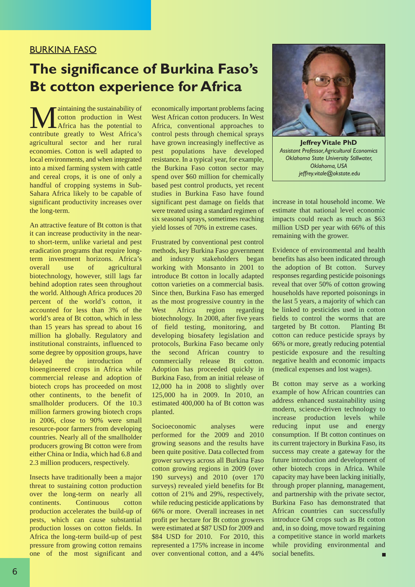## BURKINA FASO

## **The significance of Burkina Faso's Bt cotton experience for Africa**

**M**aintaining the sustainability of<br>contribute production in West<br>contribute greatly to West Africa's cotton production in West Africa has the potential to agricultural sector and her rural economies. Cotton is well adapted to local environments, and when integrated into a mixed farming system with cattle and cereal crops, it is one of only a handful of cropping systems in Sub-Sahara Africa likely to be capable of significant productivity increases over the long-term.

An attractive feature of Bt cotton is that it can increase productivity in the nearto short-term, unlike varietal and pest eradication programs that require longterm investment horizons. Africa's overall use of agricultural biotechnology, however, still lags far behind adoption rates seen throughout the world. Although Africa produces 20 percent of the world's cotton, it accounted for less than 3% of the world's area of Bt cotton, which in less than 15 years has spread to about 16 million ha globally. Regulatory and institutional constraints, influenced to some degree by opposition groups, have delayed the introduction of bioengineered crops in Africa while commercial release and adoption of biotech crops has proceeded on most other continents, to the benefit of smallholder producers. Of the 10.3 million farmers growing biotech crops in 2006, close to 90% were small resource-poor farmers from developing countries. Nearly all of the smallholder producers growing Bt cotton were from either China or India, which had 6.8 and 2.3 million producers, respectively.

Insects have traditionally been a major threat to sustaining cotton production over the long-term on nearly all continents. Continuous cotton production accelerates the build-up of pests, which can cause substantial production losses on cotton fields. In Africa the long-term build-up of pest pressure from growing cotton remains one of the most significant and economically important problems facing West African cotton producers. In West Africa, conventional approaches to control pests through chemical sprays have grown increasingly ineffective as pest populations have developed resistance. In a typical year, for example, the Burkina Faso cotton sector may spend over \$60 million for chemically based pest control products, yet recent studies in Burkina Faso have found significant pest damage on fields that were treated using a standard regimen of six seasonal sprays, sometimes reaching yield losses of 70% in extreme cases.

Frustrated by conventional pest control methods, key Burkina Faso government and industry stakeholders began working with Monsanto in 2001 to introduce Bt cotton in locally adapted cotton varieties on a commercial basis. Since then, Burkina Faso has emerged as the most progressive country in the West Africa region regarding biotechnology. In 2008, after five years of field testing, monitoring, and developing biosafety legislation and protocols, Burkina Faso became only the second African country to commercially release Bt cotton. Adoption has proceeded quickly in Burkina Faso, from an initial release of 12,000 ha in 2008 to slightly over 125,000 ha in 2009. In 2010, an estimated 400,000 ha of Bt cotton was planted.

Socioeconomic analyses were performed for the 2009 and 2010 growing seasons and the results have been quite positive. Data collected from grower surveys across all Burkina Faso cotton growing regions in 2009 (over 190 surveys) and 2010 (over 170 surveys) revealed yield benefits for Bt cotton of 21% and 29%, respectively, while reducing pesticide applications by 66% or more. Overall increases in net profit per hectare for Bt cotton growers were estimated at \$87 USD for 2009 and \$84 USD for 2010. For 2010, this represented a 175% increase in income over conventional cotton, and a 44%



**Jeffrey Vitale PhD** *Assistant Professor,Agricultural Economics Oklahoma State University Stillwater, Oklahoma, USA jeffrey.vitale@okstate.edu*

increase in total household income. We estimate that national level economic impacts could reach as much as \$63 million USD per year with 66% of this remaining with the grower.

Evidence of environmental and health benefits has also been indicated through the adoption of Bt cotton. Survey responses regarding pesticide poisonings reveal that over 50% of cotton growing households have reported poisonings in the last 5 years, a majority of which can be linked to pesticides used in cotton fields to control the worms that are targeted by Bt cotton. Planting Bt cotton can reduce pesticide sprays by 66% or more, greatly reducing potential pesticide exposure and the resulting negative health and economic impacts (medical expenses and lost wages).

Bt cotton may serve as a working example of how African countries can address enhanced sustainability using modern, science-driven technology to increase production levels while reducing input use and energy consumption. If Bt cotton continues on its current trajectory in Burkina Faso, its success may create a gateway for the future introduction and development of other biotech crops in Africa. While capacity may have been lacking initially, through proper planning, management, and partnership with the private sector, Burkina Faso has demonstrated that African countries can successfully introduce GM crops such as Bt cotton and, in so doing, move toward regaining a competitive stance in world markets while providing environmental and social benefits. п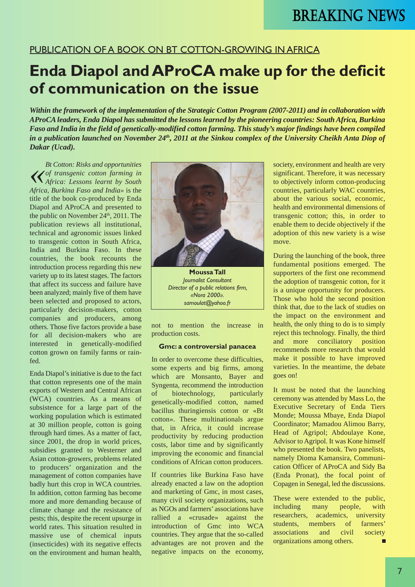## PUBLICATION OF A BOOK ON BT COTTON-GROWING IN AFRICA

# **Enda Diapol andAProCA make up for the deficit of communication on the issue**

*Within the framework of the implementation of the Strategic Cotton Program (2007-2011) and in collaboration with AProCA leaders, Enda Diapol has submitted the lessons learned by the pioneering countries: South Africa, Burkina Faso and India in the field of genetically-modified cotton farming. This study's major findings have been compiled in a publication launched on November 24th, 2011 at the Sinkou complex of the University Cheikh Anta Diop of Dakar (Ucad).*

*« Bt Cotton: Risks and opportunities of transgenic cotton farming in Africa: Lessons learnt by South Africa, Burkina Faso and India»* is the title of the book co-produced by Enda Diapol and AProCA and presented to the public on November  $24<sup>th</sup>$ ,  $2011$ . The publication reviews all institutional, technical and agronomic issues linked to transgenic cotton in South Africa, India and Burkina Faso. In these countries, the book recounts the introduction process regarding this new variety up to its latest stages. The factors that affect its success and failure have been analyzed; mainly five of them have been selected and proposed to actors, particularly decision-makers, cotton companies and producers, among others. Those five factors provide a base for all decision-makers who are interested in genetically-modified cotton grown on family farms or rainfed.

Enda Diapol's initiative is due to the fact that cotton represents one of the main exports of Western and Central African (WCA) countries. As a means of subsistence for a large part of the working population which is estimated at 30 million people, cotton is going through hard times. As a matter of fact, since 2001, the drop in world prices, subsidies granted to Westerner and Asian cotton-growers, problems related to producers' organization and the management of cotton companies have badly hurt this crop in WCA countries. In addition, cotton farming has become more and more demanding because of climate change and the resistance of pests; this, despite the recent upsurge in world rates. This situation resulted in massive use of chemical inputs (insecticides) with its negative effects on the environment and human health,



*Journalist Consultant Director of a public relations firm, «Nora 2000». samoulat@yahoo.fr*

not to mention the increase in production costs.

#### **Gmc: a controversial panacea**

In order to overcome these difficulties, some experts and big firms, among which are Monsanto, Bayer and Syngenta, recommend the introduction of biotechnology, particularly genetically-modified cotton, named bacillus thuringiensis cotton or «Bt cotton». These multinationals argue that, in Africa, it could increase productivity by reducing production costs, labor time and by significantly improving the economic and financial conditions of African cotton producers.

If countries like Burkina Faso have already enacted a law on the adoption and marketing of Gmc, in most cases, many civil society organizations, such as NGOs and farmers' associations have rallied a «crusade» against the introduction of Gmc into WCA countries. They argue that the so-called advantages are not proven and the negative impacts on the economy, society, environment and health are very significant. Therefore, it was necessary to objectively inform cotton-producing countries, particularly WAC countries, about the various social, economic, health and environmental dimensions of transgenic cotton; this, in order to enable them to decide objectively if the adoption of this new variety is a wise move.

During the launching of the book, three fundamental positions emerged. The supporters of the first one recommend the adoption of transgenic cotton, for it is a unique opportunity for producers. Those who hold the second position think that, due to the lack of studies on the impact on the environment and health, the only thing to do is to simply reject this technology. Finally, the third and more conciliatory position recommends more research that would make it possible to have improved varieties. In the meantime, the debate goes on!

It must be noted that the launching ceremony was attended by Mass Lo, the Executive Secretary of Enda Tiers Monde; Moussa Mbaye, Enda Diapol Coordinator; Mamadou Alimou Barry, Head of Agripol; Abdoulaye Kone, Advisor to Agripol. It was Kone himself who presented the book. Two panelists, namely Dioma Kamansira, Communication Officer of AProCA and Sidy Ba (Enda Pronat), the focal point of Copagen in Senegal, led the discussions.

These were extended to the public, including many people, with researchers, academics, university students, members of farmers' associations and civil society organizations among others.